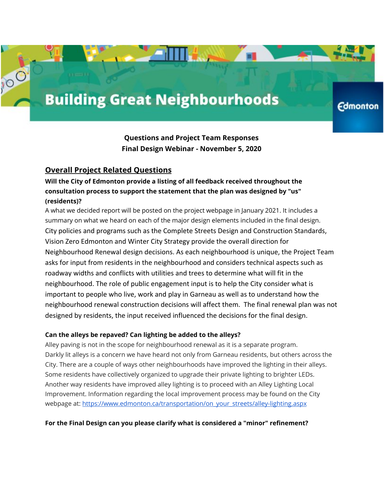# **Building Great Neighbourhoods**

**Edmonton** 

**Questions and Project Team Responses Final Design Webinar - November 5, 2020**

# **Overall Project Related Questions**

# **Will the City of Edmonton provide a listing of all feedback received throughout the consultation process to support the statement that the plan was designed by "us" (residents)?**

A what we decided report will be posted on the project webpage in January 2021. It includes a summary on what we heard on each of the major design elements included in the final design. City policies and programs such as the Complete Streets Design and Construction Standards, Vision Zero Edmonton and Winter City Strategy provide the overall direction for Neighbourhood Renewal design decisions. As each neighbourhood is unique, the Project Team asks for input from residents in the neighbourhood and considers technical aspects such as roadway widths and conflicts with utilities and trees to determine what will fit in the neighbourhood. The role of public engagement input is to help the City consider what is important to people who live, work and play in Garneau as well as to understand how the neighbourhood renewal construction decisions will affect them. The final renewal plan was not designed by residents, the input received influenced the decisions for the final design.

## **Can the alleys be repaved? Can lighting be added to the alleys?**

Alley paving is not in the scope for neighbourhood renewal as it is a separate program. Darkly lit alleys is a concern we have heard not only from Garneau residents, but others across the City. There are a couple of ways other neighbourhoods have improved the lighting in their alleys. Some residents have collectively organized to upgrade their private lighting to brighter LEDs. Another way residents have improved alley lighting is to proceed with an Alley Lighting Local Improvement. Information regarding the local improvement process may be found on the City webpage at: [https://www.edmonton.ca/transportation/on\\_your\\_streets/alley-lighting.aspx](https://www.edmonton.ca/transportation/on_your_streets/alley-lighting.aspx)

## **For the Final Design can you please clarify what is considered a "minor" refinement?**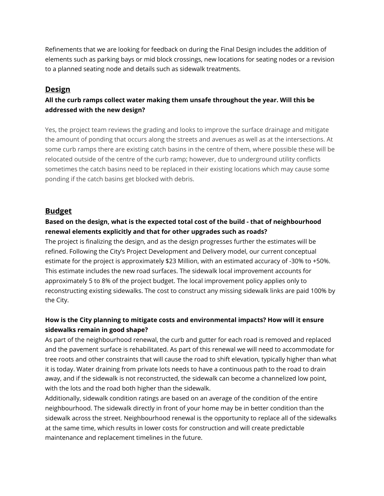Refinements that we are looking for feedback on during the Final Design includes the addition of elements such as parking bays or mid block crossings, new locations for seating nodes or a revision to a planned seating node and details such as sidewalk treatments.

## **Design**

# **All the curb ramps collect water making them unsafe throughout the year. Will this be addressed with the new design?**

Yes, the project team reviews the grading and looks to improve the surface drainage and mitigate the amount of ponding that occurs along the streets and avenues as well as at the intersections. At some curb ramps there are existing catch basins in the centre of them, where possible these will be relocated outside of the centre of the curb ramp; however, due to underground utility conflicts sometimes the catch basins need to be replaced in their existing locations which may cause some ponding if the catch basins get blocked with debris.

## **Budget**

## **Based on the design, what is the expected total cost of the build - that of neighbourhood renewal elements explicitly and that for other upgrades such as roads?**

The project is finalizing the design, and as the design progresses further the estimates will be refined. Following the City's Project Development and Delivery model, our current conceptual estimate for the project is approximately \$23 Million, with an estimated accuracy of -30% to +50%. This estimate includes the new road surfaces. The sidewalk local improvement accounts for approximately 5 to 8% of the project budget. The local improvement policy applies only to reconstructing existing sidewalks. The cost to construct any missing sidewalk links are paid 100% by the City.

# **How is the City planning to mitigate costs and environmental impacts? How will it ensure sidewalks remain in good shape?**

As part of the neighbourhood renewal, the curb and gutter for each road is removed and replaced and the pavement surface is rehabilitated. As part of this renewal we will need to accommodate for tree roots and other constraints that will cause the road to shift elevation, typically higher than what it is today. Water draining from private lots needs to have a continuous path to the road to drain away, and if the sidewalk is not reconstructed, the sidewalk can become a channelized low point, with the lots and the road both higher than the sidewalk.

Additionally, sidewalk condition ratings are based on an average of the condition of the entire neighbourhood. The sidewalk directly in front of your home may be in better condition than the sidewalk across the street. Neighbourhood renewal is the opportunity to replace all of the sidewalks at the same time, which results in lower costs for construction and will create predictable maintenance and replacement timelines in the future.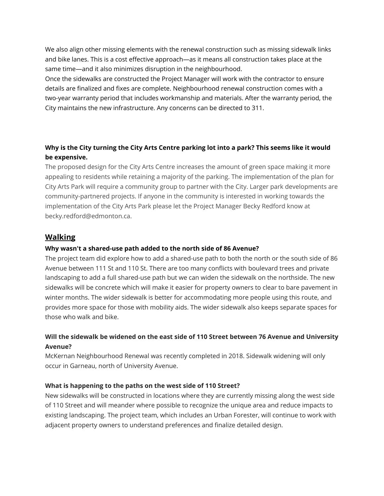We also align other missing elements with the renewal construction such as missing sidewalk links and bike lanes. This is a cost effective approach—as it means all construction takes place at the same time—and it also minimizes disruption in the neighbourhood.

Once the sidewalks are constructed the Project Manager will work with the contractor to ensure details are finalized and fixes are complete. Neighbourhood renewal construction comes with a two-year warranty period that includes workmanship and materials. After the warranty period, the City maintains the new infrastructure. Any concerns can be directed to 311.

## Why is the City turning the City Arts Centre parking lot into a park? This seems like it would **be expensive.**

The proposed design for the City Arts Centre increases the amount of green space making it more appealing to residents while retaining a majority of the parking. The implementation of the plan for City Arts Park will require a community group to partner with the City. Larger park developments are community-partnered projects. If anyone in the community is interested in working towards the implementation of the City Arts Park please let the Project Manager Becky Redford know at becky.redford@edmonton.ca.

# **Walking**

#### **Why wasn't a shared-use path added to the north side of 86 Avenue?**

The project team did explore how to add a shared-use path to both the north or the south side of 86 Avenue between 111 St and 110 St. There are too many conflicts with boulevard trees and private landscaping to add a full shared-use path but we can widen the sidewalk on the northside. The new sidewalks will be concrete which will make it easier for property owners to clear to bare pavement in winter months. The wider sidewalk is better for accommodating more people using this route, and provides more space for those with mobility aids. The wider sidewalk also keeps separate spaces for those who walk and bike.

## **Will the sidewalk be widened on the east side of 110 Street between 76 Avenue and University Avenue?**

McKernan Neighbourhood Renewal was recently completed in 2018. Sidewalk widening will only occur in Garneau, north of University Avenue.

#### **What is happening to the paths on the west side of 110 Street?**

New sidewalks will be constructed in locations where they are currently missing along the west side of 110 Street and will meander where possible to recognize the unique area and reduce impacts to existing landscaping. The project team, which includes an Urban Forester, will continue to work with adjacent property owners to understand preferences and finalize detailed design.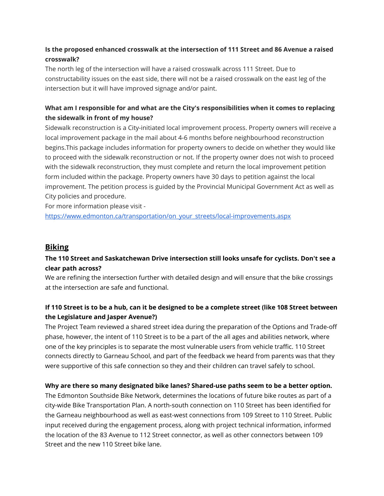## **Is the proposed enhanced crosswalk at the intersection of 111 Street and 86 Avenue a raised crosswalk?**

The north leg of the intersection will have a raised crosswalk across 111 Street. Due to constructability issues on the east side, there will not be a raised crosswalk on the east leg of the intersection but it will have improved signage and/or paint.

## **What am I responsible for and what are the City's responsibilities when it comes to replacing the sidewalk in front of my house?**

Sidewalk reconstruction is a City-initiated local improvement process. Property owners will receive a local improvement package in the mail about 4-6 months before neighbourhood reconstruction begins.This package includes information for property owners to decide on whether they would like to proceed with the sidewalk reconstruction or not. If the property owner does not wish to proceed with the sidewalk reconstruction, they must complete and return the local improvement petition form included within the package. Property owners have 30 days to petition against the local improvement. The petition process is guided by the Provincial Municipal Government Act as well as City policies and procedure.

For more information please visit -

[https://www.edmonton.ca/transportation/on\\_your\\_streets/local-improvements.aspx](https://www.edmonton.ca/transportation/on_your_streets/local-improvements.aspx)

## **Biking**

## **The 110 Street and Saskatchewan Drive intersection still looks unsafe for cyclists. Don't see a clear path across?**

We are refining the intersection further with detailed design and will ensure that the bike crossings at the intersection are safe and functional.

## If 110 Street is to be a hub, can it be designed to be a complete street (like 108 Street between **the Legislature and Jasper Avenue?)**

The Project Team reviewed a shared street idea during the preparation of the Options and Trade-off phase, however, the intent of 110 Street is to be a part of the all ages and abilities network, where one of the key principles is to separate the most vulnerable users from vehicle traffic. 110 Street connects directly to Garneau School, and part of the feedback we heard from parents was that they were supportive of this safe connection so they and their children can travel safely to school.

## **Why are there so many designated bike lanes? Shared-use paths seem to be a better option.**

The Edmonton Southside Bike Network, determines the locations of future bike routes as part of a city-wide Bike Transportation Plan. A north-south connection on 110 Street has been identified for the Garneau neighbourhood as well as east-west connections from 109 Street to 110 Street. Public input received during the engagement process, along with project technical information, informed the location of the 83 Avenue to 112 Street connector, as well as other connectors between 109 Street and the new 110 Street bike lane.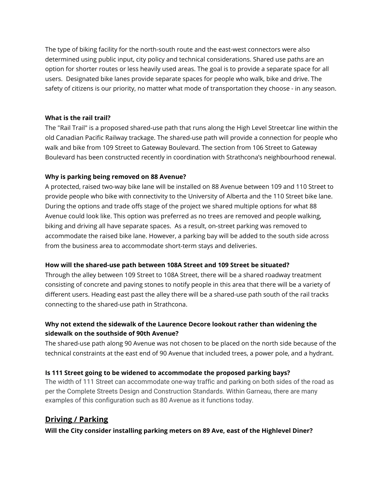The type of biking facility for the north-south route and the east-west connectors were also determined using public input, city policy and technical considerations. Shared use paths are an option for shorter routes or less heavily used areas. The goal is to provide a separate space for all users. Designated bike lanes provide separate spaces for people who walk, bike and drive. The safety of citizens is our priority, no matter what mode of transportation they choose - in any season.

## **What is the rail trail?**

The "Rail Trail" is a proposed shared-use path that runs along the High Level Streetcar line within the old Canadian Pacific Railway trackage. The shared-use path will provide a connection for people who walk and bike from 109 Street to Gateway Boulevard. The section from 106 Street to Gateway Boulevard has been constructed recently in coordination with Strathcona's neighbourhood renewal.

#### **Why is parking being removed on 88 Avenue?**

A protected, raised two-way bike lane will be installed on 88 Avenue between 109 and 110 Street to provide people who bike with connectivity to the University of Alberta and the 110 Street bike lane. During the options and trade offs stage of the project we shared multiple options for what 88 Avenue could look like. This option was preferred as no trees are removed and people walking, biking and driving all have separate spaces. As a result, on-street parking was removed to accommodate the raised bike lane. However, a parking bay will be added to the south side across from the business area to accommodate short-term stays and deliveries.

## **How will the shared-use path between 108A Street and 109 Street be situated?**

Through the alley between 109 Street to 108A Street, there will be a shared roadway treatment consisting of concrete and paving stones to notify people in this area that there will be a variety of different users. Heading east past the alley there will be a shared-use path south of the rail tracks connecting to the shared-use path in Strathcona.

## **Why not extend the sidewalk of the Laurence Decore lookout rather than widening the sidewalk on the southside of 90th Avenue?**

The shared-use path along 90 Avenue was not chosen to be placed on the north side because of the technical constraints at the east end of 90 Avenue that included trees, a power pole, and a hydrant.

## **Is 111 Street going to be widened to accommodate the proposed parking bays?**

The width of 111 Street can accommodate one-way traffic and parking on both sides of the road as per the Complete Streets Design and Construction Standards. Within Garneau, there are many examples of this configuration such as 80 Avenue as it functions today.

# **Driving / Parking**

**Will the City consider installing parking meters on 89 Ave, east of the Highlevel Diner?**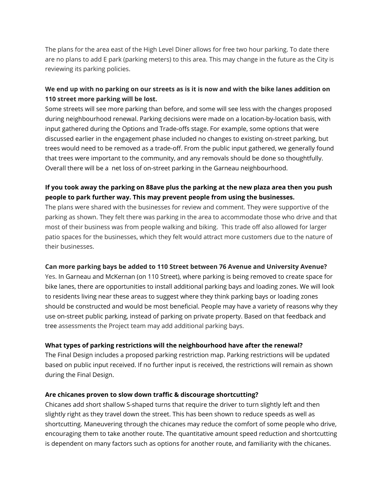The plans for the area east of the High Level Diner allows for free two hour parking. To date there are no plans to add E park (parking meters) to this area. This may change in the future as the City is reviewing its parking policies.

## We end up with no parking on our streets as is it is now and with the bike lanes addition on **110 street more parking will be lost.**

Some streets will see more parking than before, and some will see less with the changes proposed during neighbourhood renewal. Parking decisions were made on a location-by-location basis, with input gathered during the Options and Trade-offs stage. For example, some options that were discussed earlier in the engagement phase included no changes to existing on-street parking, but trees would need to be removed as a trade-off. From the public input gathered, we generally found that trees were important to the community, and any removals should be done so thoughtfully. Overall there will be a net loss of on-street parking in the Garneau neighbourhood.

## **If you took away the parking on 88ave plus the parking at the new plaza area then you push people to park further way. This may prevent people from using the businesses.**

The plans were shared with the businesses for review and comment. They were supportive of the parking as shown. They felt there was parking in the area to accommodate those who drive and that most of their business was from people walking and biking. This trade off also allowed for larger patio spaces for the businesses, which they felt would attract more customers due to the nature of their businesses.

## **Can more parking bays be added to 110 Street between 76 Avenue and University Avenue?**

Yes. In Garneau and McKernan (on 110 Street), where parking is being removed to create space for bike lanes, there are opportunities to install additional parking bays and loading zones. We will look to residents living near these areas to suggest where they think parking bays or loading zones should be constructed and would be most beneficial. People may have a variety of reasons why they use on-street public parking, instead of parking on private property. Based on that feedback and tree assessments the Project team may add additional parking bays.

## **What types of parking restrictions will the neighbourhood have after the renewal?**

The Final Design includes a proposed parking restriction map. Parking restrictions will be updated based on public input received. If no further input is received, the restrictions will remain as shown during the Final Design.

## **Are chicanes proven to slow down traffic & discourage shortcutting?**

Chicanes add short shallow S-shaped turns that require the driver to turn slightly left and then slightly right as they travel down the street. This has been shown to reduce speeds as well as shortcutting. Maneuvering through the chicanes may reduce the comfort of some people who drive, encouraging them to take another route. The quantitative amount speed reduction and shortcutting is dependent on many factors such as options for another route, and familiarity with the chicanes.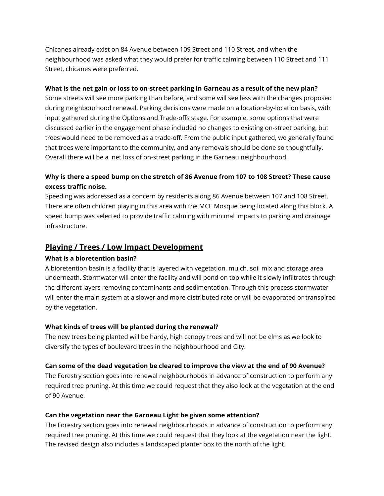Chicanes already exist on 84 Avenue between 109 Street and 110 Street, and when the neighbourhood was asked what they would prefer for traffic calming between 110 Street and 111 Street, chicanes were preferred.

#### **What is the net gain or loss to on-street parking in Garneau as a result of the new plan?**

Some streets will see more parking than before, and some will see less with the changes proposed during neighbourhood renewal. Parking decisions were made on a location-by-location basis, with input gathered during the Options and Trade-offs stage. For example, some options that were discussed earlier in the engagement phase included no changes to existing on-street parking, but trees would need to be removed as a trade-off. From the public input gathered, we generally found that trees were important to the community, and any removals should be done so thoughtfully. Overall there will be a net loss of on-street parking in the Garneau neighbourhood.

## **Why is there a speed bump on the stretch of 86 Avenue from 107 to 108 Street? These cause excess traffic noise.**

Speeding was addressed as a concern by residents along 86 Avenue between 107 and 108 Street. There are often children playing in this area with the MCE Mosque being located along this block. A speed bump was selected to provide traffic calming with minimal impacts to parking and drainage infrastructure.

## **Playing / Trees / Low Impact Development**

## **What is a bioretention basin?**

A bioretention basin is a facility that is layered with vegetation, mulch, soil mix and storage area underneath. Stormwater will enter the facility and will pond on top while it slowly infiltrates through the different layers removing contaminants and sedimentation. Through this process stormwater will enter the main system at a slower and more distributed rate or will be evaporated or transpired by the vegetation.

#### **What kinds of trees will be planted during the renewal?**

The new trees being planted will be hardy, high canopy trees and will not be elms as we look to diversify the types of boulevard trees in the neighbourhood and City.

## **Can some of the dead vegetation be cleared to improve the view at the end of 90 Avenue?**

The Forestry section goes into renewal neighbourhoods in advance of construction to perform any required tree pruning. At this time we could request that they also look at the vegetation at the end of 90 Avenue.

## **Can the vegetation near the Garneau Light be given some attention?**

The Forestry section goes into renewal neighbourhoods in advance of construction to perform any required tree pruning. At this time we could request that they look at the vegetation near the light. The revised design also includes a landscaped planter box to the north of the light.